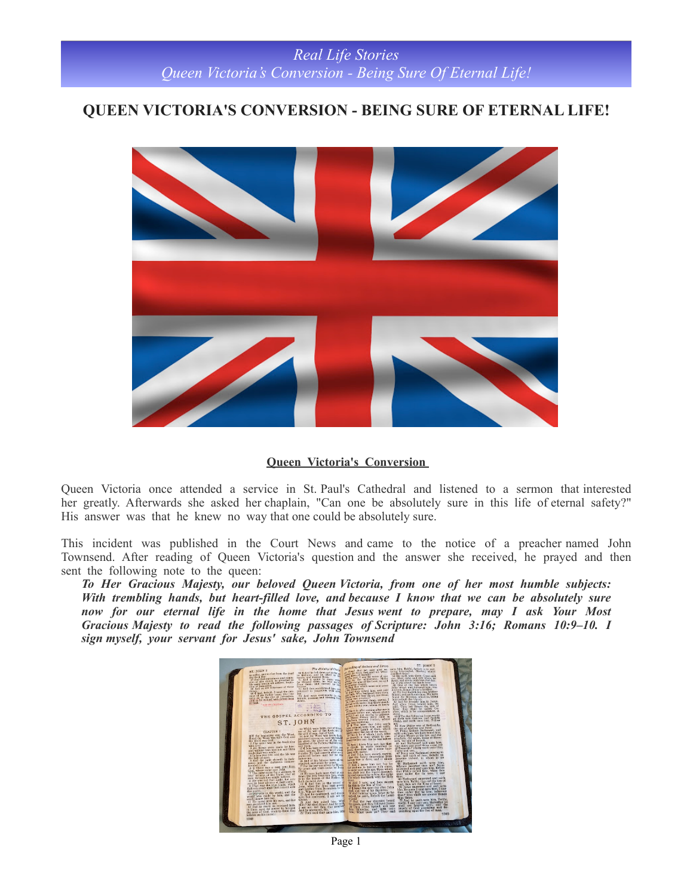## *Real Life Stories Queen Victoria's Conversion - Being Sure Of Eternal Life!*

# **QUEEN VICTORIA'S CONVERSION - BEING SURE OF ETERNAL LIFE!**



### **Queen Victoria's Conversion**

Queen Victoria once attended a service in St. Paul's Cathedral and listened to a sermon that interested her greatly. Afterwards she asked her chaplain, "Can one be absolutely sure in this life of eternal safety?" His answer was that he knew no way that one could be absolutely sure.

This incident was published in the Court News and came to the notice of a preacher named John Townsend. After reading of Queen Victoria's question and the answer she received, he prayed and then sent the following note to the queen:

*To Her Gracious Majesty, our beloved Queen Victoria, from one of her most humble subjects: With trembling hands, but heart-filled love, and because I know that we can be absolutely sure now for our eternal life in the home that Jesus went to prepare, may I ask Your Most Gracious Majesty to read the following passages of Scripture: John 3:16; Romans 10:9–10. I sign myself, your servant for Jesus' sake, John Townsend* 



Page 1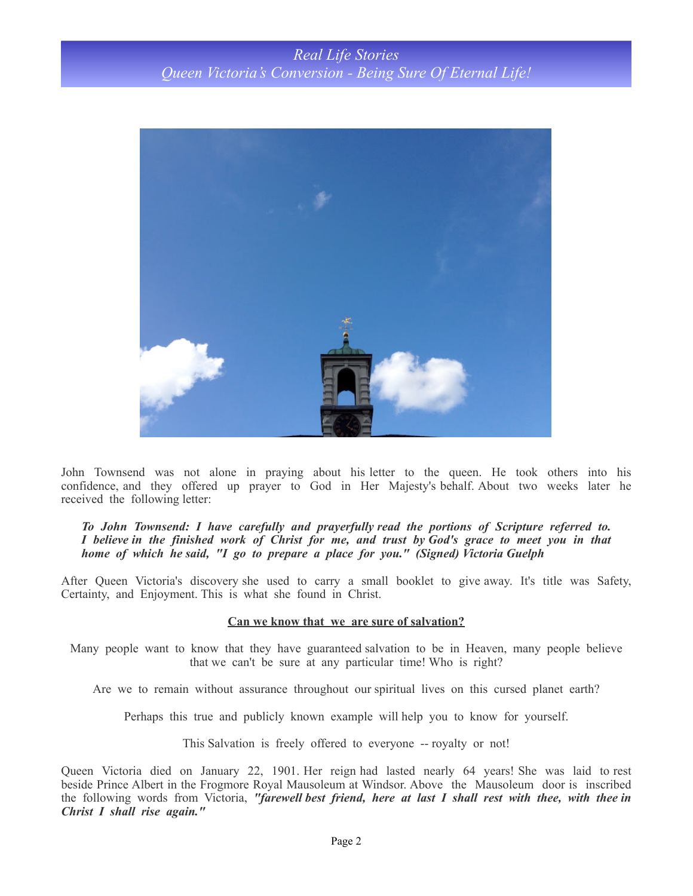

John Townsend was not alone in praying about his letter to the queen. He took others into his confidence, and they offered up prayer to God in Her Majesty's behalf. About two weeks later he received the following letter:

*To John Townsend: I have carefully and prayerfully read the portions of Scripture referred to. I believe in the finished work of Christ for me, and trust by God's grace to meet you in that home of which he said, "I go to prepare a place for you." (Signed) Victoria Guelph*

After Queen Victoria's discovery she used to carry a small booklet to give away. It's title was Safety, Certainty, and Enjoyment. This is what she found in Christ.

### **Can we know that we are sure of salvation?**

Many people want to know that they have guaranteed salvation to be in Heaven, many people believe that we can't be sure at any particular time! Who is right?

Are we to remain without assurance throughout our spiritual lives on this cursed planet earth?

Perhaps this true and publicly known example will help you to know for yourself.

This Salvation is freely offered to everyone -- royalty or not!

Queen Victoria died on January 22, 1901. Her reign had lasted nearly 64 years! She was laid to rest beside Prince Albert in the Frogmore Royal Mausoleum at Windsor. Above the Mausoleum door is inscribed the following words from Victoria, *"farewell best friend, here at last I shall rest with thee, with thee in Christ I shall rise again."*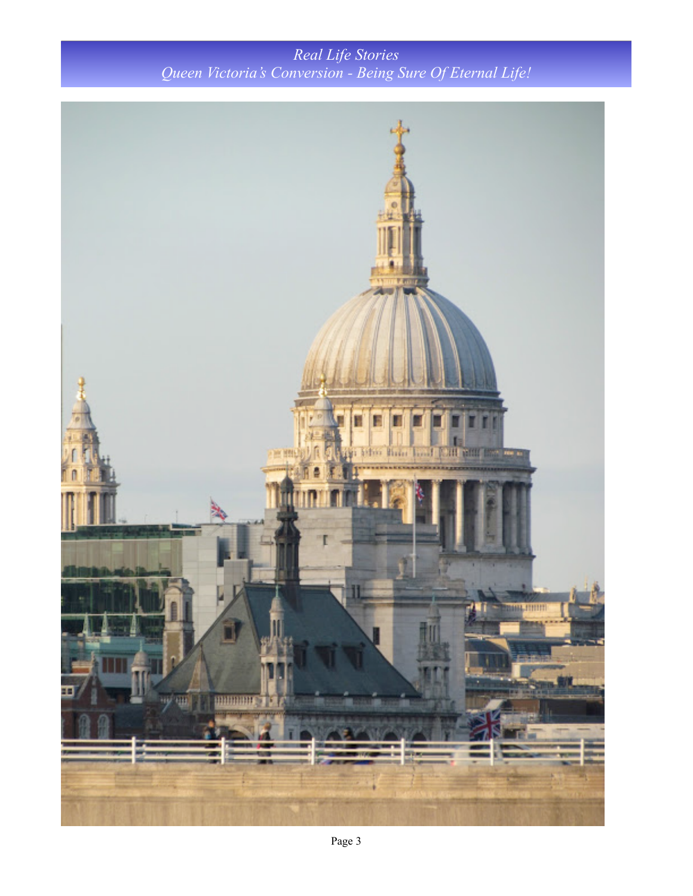## *Real Life Stories Queen Victoria's Conversion - Being Sure Of Eternal Life!*